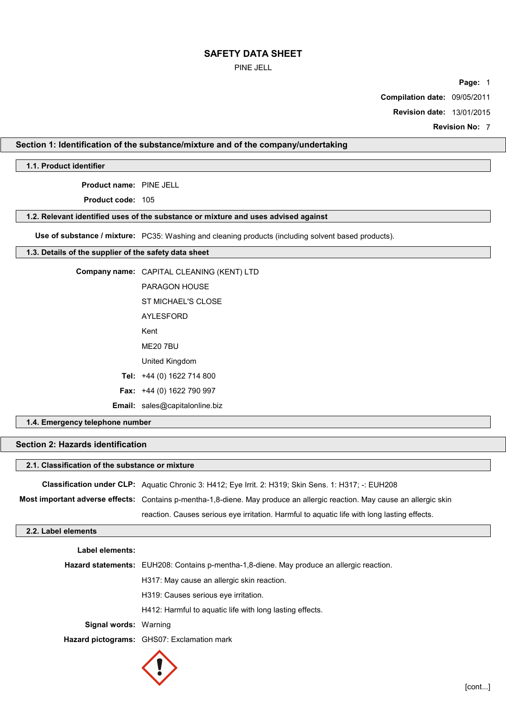## PINE JELL

**Page:** 1

**Compilation date:** 09/05/2011

**Revision date:** 13/01/2015

**Revision No:** 7

# **Section 1: Identification of the substance/mixture and of the company/undertaking**

**1.1. Product identifier**

**Product name:** PINE JELL

**Product code:** 105

## **1.2. Relevant identified uses of the substance or mixture and uses advised against**

**Use of substance / mixture:** PC35: Washing and cleaning products (including solvent based products).

## **1.3. Details of the supplier of the safety data sheet**

| Company name: CAPITAL CLEANING (KENT) LTD |
|-------------------------------------------|
| <b>PARAGON HOUSE</b>                      |
| ST MICHAEL'S CLOSE                        |
| <b>AYLESFORD</b>                          |
| Kent                                      |
| <b>ME20 7BU</b>                           |
| United Kingdom                            |
| Tel: $+44(0)$ 1622 714 800                |
| <b>Fax:</b> $+44$ (0) 1622 790 997        |
| <b>Email:</b> sales@capitalonline.biz     |

## **1.4. Emergency telephone number**

# **Section 2: Hazards identification**

| 2.1. Classification of the substance or mixture |                                                                                                                           |  |  |
|-------------------------------------------------|---------------------------------------------------------------------------------------------------------------------------|--|--|
|                                                 | <b>Classification under CLP:</b> Aquatic Chronic 3: H412; Eye Irrit. 2: H319; Skin Sens. 1: H317; -: EUH208               |  |  |
|                                                 | Most important adverse effects: Contains p-mentha-1,8-diene. May produce an allergic reaction. May cause an allergic skin |  |  |
|                                                 | reaction. Causes serious eye irritation. Harmful to aquatic life with long lasting effects.                               |  |  |
| 2.2. Label elements                             |                                                                                                                           |  |  |
| abel elements:                                  |                                                                                                                           |  |  |

| LANGI GIGILIGILIS.           |                                                                                                  |
|------------------------------|--------------------------------------------------------------------------------------------------|
|                              | <b>Hazard statements:</b> EUH208: Contains p-mentha-1,8-diene. May produce an allergic reaction. |
|                              | H317: May cause an allergic skin reaction.                                                       |
|                              | H319: Causes serious eve irritation.                                                             |
|                              | H412: Harmful to aguatic life with long lasting effects.                                         |
| <b>Signal words: Warning</b> |                                                                                                  |
|                              | <b>Hazard pictograms:</b> GHS07: Exclamation mark                                                |
|                              |                                                                                                  |

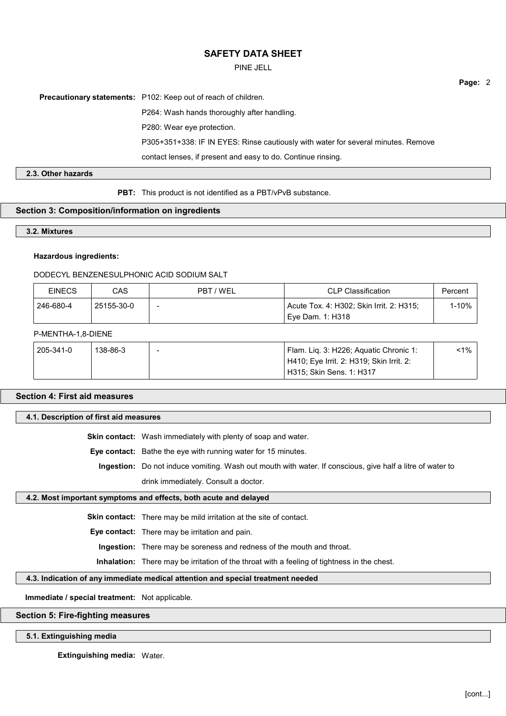PINE JELL

**Precautionary statements:** P102: Keep out of reach of children.

P264: Wash hands thoroughly after handling.

P280: Wear eye protection.

P305+351+338: IF IN EYES: Rinse cautiously with water for several minutes. Remove

contact lenses, if present and easy to do. Continue rinsing.

## **2.3. Other hazards**

**PBT:** This product is not identified as a PBT/vPvB substance.

## **Section 3: Composition/information on ingredients**

**3.2. Mixtures**

## **Hazardous ingredients:**

## DODECYL BENZENESULPHONIC ACID SODIUM SALT

| <b>EINECS</b> | CAS        | PBT / WEL | <b>CLP Classification</b>                | Percent |
|---------------|------------|-----------|------------------------------------------|---------|
| 246-680-4     | 25155-30-0 |           | Acute Tox. 4: H302; Skin Irrit. 2: H315; | 1-10%   |
|               |            |           | Eve Dam. 1: H318                         |         |

#### P-MENTHA-1,8-DIENE

| 205-341-0 | 138-86-3 | Flam. Lig. 3: H226; Aguatic Chronic 1:   | $-1\%$ |
|-----------|----------|------------------------------------------|--------|
|           |          | H410; Eye Irrit. 2: H319; Skin Irrit. 2: |        |
|           |          | H315: Skin Sens. 1: H317                 |        |

## **Section 4: First aid measures**

### **4.1. Description of first aid measures**

**Skin contact:** Wash immediately with plenty of soap and water.

**Eye contact:** Bathe the eye with running water for 15 minutes.

**Ingestion:** Do not induce vomiting. Wash out mouth with water. If conscious, give half a litre of water to drink immediately. Consult a doctor.

## **4.2. Most important symptoms and effects, both acute and delayed**

**Skin contact:** There may be mild irritation at the site of contact.

**Eye contact:** There may be irritation and pain.

**Ingestion:** There may be soreness and redness of the mouth and throat.

**Inhalation:** There may be irritation of the throat with a feeling of tightness in the chest.

## **4.3. Indication of any immediate medical attention and special treatment needed**

**Immediate / special treatment:** Not applicable.

## **Section 5: Fire-fighting measures**

### **5.1. Extinguishing media**

**Extinguishing media:** Water.

**Page:** 2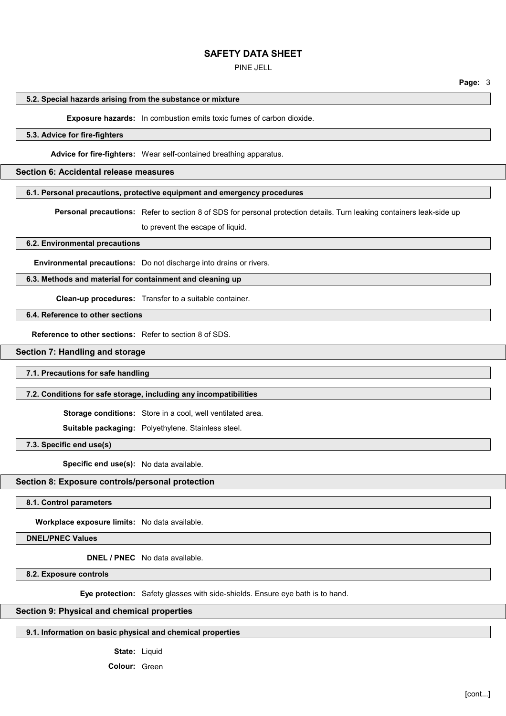PINE JELL

**Page:** 3

#### **5.2. Special hazards arising from the substance or mixture**

**Exposure hazards:** In combustion emits toxic fumes of carbon dioxide.

## **5.3. Advice for fire-fighters**

**Advice for fire-fighters:** Wear self-contained breathing apparatus.

## **Section 6: Accidental release measures**

#### **6.1. Personal precautions, protective equipment and emergency procedures**

**Personal precautions:** Refer to section 8 of SDS for personal protection details. Turn leaking containers leak-side up to prevent the escape of liquid.

**6.2. Environmental precautions**

**Environmental precautions:** Do not discharge into drains or rivers.

### **6.3. Methods and material for containment and cleaning up**

**Clean-up procedures:** Transfer to a suitable container.

**6.4. Reference to other sections**

**Reference to other sections:** Refer to section 8 of SDS.

## **Section 7: Handling and storage**

### **7.1. Precautions for safe handling**

#### **7.2. Conditions for safe storage, including any incompatibilities**

**Storage conditions:** Store in a cool, well ventilated area.

**Suitable packaging:** Polyethylene. Stainless steel.

**7.3. Specific end use(s)**

**Specific end use(s):** No data available.

### **Section 8: Exposure controls/personal protection**

**8.1. Control parameters**

**Workplace exposure limits:** No data available.

**DNEL/PNEC Values**

**DNEL / PNEC** No data available.

**8.2. Exposure controls**

**Eye protection:** Safety glasses with side-shields. Ensure eye bath is to hand.

## **Section 9: Physical and chemical properties**

#### **9.1. Information on basic physical and chemical properties**

**State:** Liquid

**Colour:** Green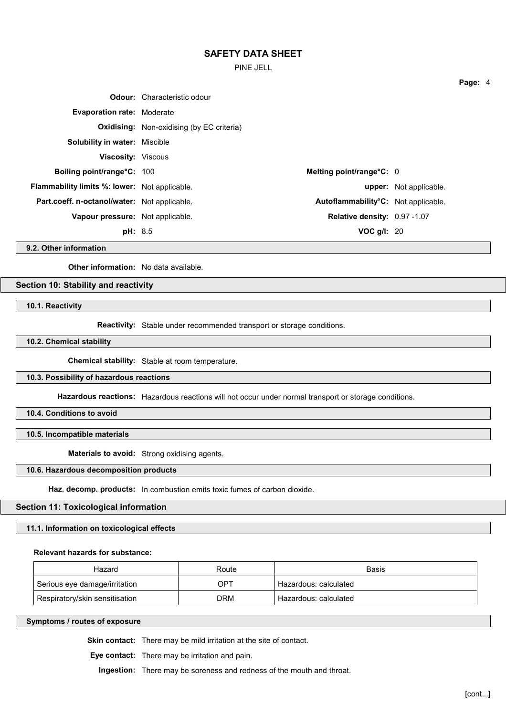PINE JELL

|                                                      | <b>Odour:</b> Characteristic odour               |                                     |                               |
|------------------------------------------------------|--------------------------------------------------|-------------------------------------|-------------------------------|
| <b>Evaporation rate: Moderate</b>                    |                                                  |                                     |                               |
|                                                      | <b>Oxidising:</b> Non-oxidising (by EC criteria) |                                     |                               |
| <b>Solubility in water: Miscible</b>                 |                                                  |                                     |                               |
| <b>Viscosity: Viscous</b>                            |                                                  |                                     |                               |
| <b>Boiling point/range°C: 100</b>                    |                                                  | Melting point/range $C: 0$          |                               |
| <b>Flammability limits %: lower:</b> Not applicable. |                                                  |                                     | <b>upper:</b> Not applicable. |
| Part.coeff. n-octanol/water: Not applicable.         |                                                  | Autoflammability°C: Not applicable. |                               |
| Vapour pressure: Not applicable.                     |                                                  | Relative density: 0.97 -1.07        |                               |
| <b>pH:</b> 8.5                                       |                                                  | VOC $g/l$ : 20                      |                               |

**9.2. Other information**

**Other information:** No data available.

### **Section 10: Stability and reactivity**

**10.1. Reactivity**

**Reactivity:** Stable under recommended transport or storage conditions.

**10.2. Chemical stability**

**Chemical stability:** Stable at room temperature.

## **10.3. Possibility of hazardous reactions**

**Hazardous reactions:** Hazardous reactions will not occur under normal transport or storage conditions.

**10.4. Conditions to avoid**

**10.5. Incompatible materials**

**Materials to avoid:** Strong oxidising agents.

## **10.6. Hazardous decomposition products**

**Haz. decomp. products:** In combustion emits toxic fumes of carbon dioxide.

# **Section 11: Toxicological information**

**11.1. Information on toxicological effects**

#### **Relevant hazards for substance:**

| Hazard                         | Route | <b>Basis</b>            |
|--------------------------------|-------|-------------------------|
| Serious eye damage/irritation  | OPT   | ' Hazardous: calculated |
| Respiratory/skin sensitisation | DRM   | Hazardous: calculated   |

**Symptoms / routes of exposure**

**Skin contact:** There may be mild irritation at the site of contact.

**Eye contact:** There may be irritation and pain.

**Ingestion:** There may be soreness and redness of the mouth and throat.

**Page:** 4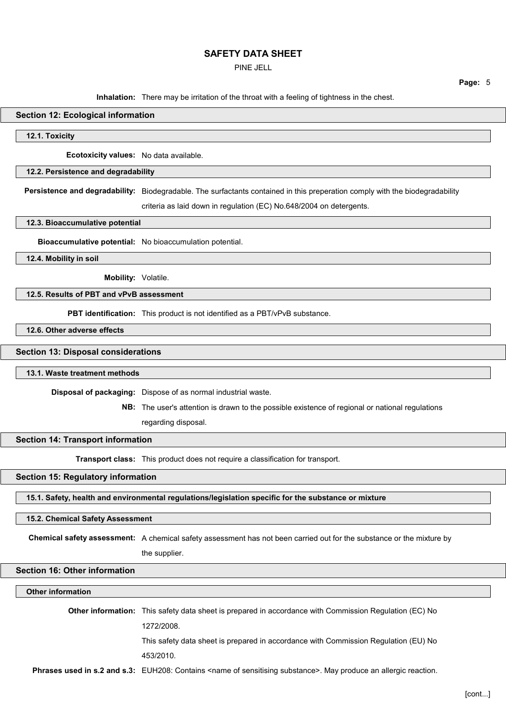PINE JELL

**Page:** 5

**Inhalation:** There may be irritation of the throat with a feeling of tightness in the chest.

## **Section 12: Ecological information**

**12.1. Toxicity**

**Ecotoxicity values:** No data available.

## **12.2. Persistence and degradability**

**Persistence and degradability:** Biodegradable. The surfactants contained in this preperation comply with the biodegradability

criteria as laid down in regulation (EC) No.648/2004 on detergents.

## **12.3. Bioaccumulative potential**

**Bioaccumulative potential:** No bioaccumulation potential.

**12.4. Mobility in soil**

**Mobility:** Volatile.

## **12.5. Results of PBT and vPvB assessment**

**PBT identification:** This product is not identified as a PBT/vPvB substance.

**12.6. Other adverse effects**

#### **Section 13: Disposal considerations**

#### **13.1. Waste treatment methods**

**Disposal of packaging:** Dispose of as normal industrial waste.

**NB:** The user's attention is drawn to the possible existence of regional or national regulations

regarding disposal.

#### **Section 14: Transport information**

**Transport class:** This product does not require a classification for transport.

#### **Section 15: Regulatory information**

**15.1. Safety, health and environmental regulations/legislation specific for the substance or mixture**

#### **15.2. Chemical Safety Assessment**

**Chemical safety assessment:** A chemical safety assessment has not been carried out for the substance or the mixture by

the supplier.

### **Section 16: Other information**

**Other information**

**Other information:** This safety data sheet is prepared in accordance with Commission Regulation (EC) No 1272/2008.

This safety data sheet is prepared in accordance with Commission Regulation (EU) No

453/2010.

**Phrases used in s.2 and s.3:** EUH208: Contains <name of sensitising substance>. May produce an allergic reaction.